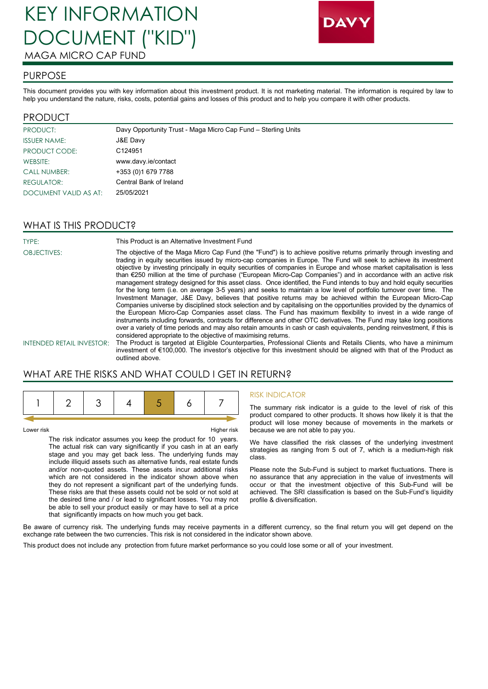# KEY INFORMATION DOCUMENT ("KID") MAGA MICRO CAP FUND



#### PURPOSE

This document provides you with key information about this investment product. It is not marketing material. The information is required by law to help you understand the nature, risks, costs, potential gains and losses of this product and to help you compare it with other products.

#### PRODUCT

| PRODUCT:              | Davy Opportunity Trust - Maga Micro Cap Fund - Sterling Units |
|-----------------------|---------------------------------------------------------------|
| <b>ISSUER NAME:</b>   | J&E Davy                                                      |
| PRODUCT CODE:         | C <sub>124951</sub>                                           |
| WEBSITE:              | www.davy.ie/contact                                           |
| <b>CALL NUMBER:</b>   | +353 (0)1 679 7788                                            |
| <b>REGULATOR:</b>     | Central Bank of Ireland                                       |
| DOCUMENT VALID AS AT: | 25/05/2021                                                    |

## WHAT IS THIS PRODUCT?

TYPE: This Product is an Alternative Investment Fund OBJECTIVES: The objective of the Maga Micro Cap Fund (the "Fund") is to achieve positive returns primarily through investing and trading in equity securities issued by micro-cap companies in Europe. The Fund will seek to achieve its investment objective by investing principally in equity securities of companies in Europe and whose market capitalisation is less than €250 million at the time of purchase ("European Micro-Cap Companies") and in accordance with an active risk management strategy designed for this asset class. Once identified, the Fund intends to buy and hold equity securities for the long term (i.e. on average 3-5 years) and seeks to maintain a low level of portfolio turnover over time. The Investment Manager, J&E Davy, believes that positive returns may be achieved within the European Micro-Cap Companies universe by disciplined stock selection and by capitalising on the opportunities provided by the dynamics of the European Micro-Cap Companies asset class. The Fund has maximum flexibility to invest in a wide range of instruments including forwards, contracts for difference and other OTC derivatives. The Fund may take long positions over a variety of time periods and may also retain amounts in cash or cash equivalents, pending reinvestment, if this is considered appropriate to the objective of maximising returns. INTENDED RETAIL INVESTOR: The Product is targeted at Eligible Counterparties, Professional Clients and Retails Clients, who have a minimum investment of €100,000. The investor's objective for this investment should be aligned with that of the Product as

WHAT ARE THE RISKS AND WHAT COULD I GET IN RETURN?

outlined above.

Lower risk Higher risk

The risk indicator assumes you keep the product for 10 years. The actual risk can vary significantly if you cash in at an early stage and you may get back less. The underlying funds may include illiquid assets such as alternative funds, real estate funds and/or non-quoted assets. These assets incur additional risks which are not considered in the indicator shown above when they do not represent a significant part of the underlying funds. These risks are that these assets could not be sold or not sold at the desired time and / or lead to significant losses. You may not be able to sell your product easily or may have to sell at a price that significantly impacts on how much you get back.

#### RISK INDICATOR

The summary risk indicator is a guide to the level of risk of this product compared to other products. It shows how likely it is that the product will lose money because of movements in the markets or because we are not able to pay you.

We have classified the risk classes of the underlying investment strategies as ranging from 5 out of 7, which is a medium-high risk class.

Please note the Sub-Fund is subject to market fluctuations. There is no assurance that any appreciation in the value of investments will occur or that the investment objective of this Sub-Fund will be achieved. The SRI classification is based on the Sub-Fund's liquidity profile & diversification.

Be aware of currency risk. The underlying funds may receive payments in a different currency, so the final return you will get depend on the exchange rate between the two currencies. This risk is not considered in the indicator shown above.

This product does not include any protection from future market performance so you could lose some or all of your investment.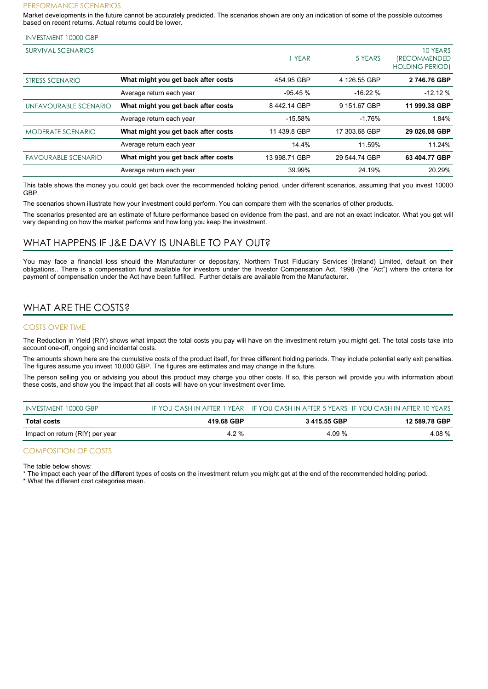#### PERFORMANCE SCENARIOS

Market developments in the future cannot be accurately predicted. The scenarios shown are only an indication of some of the possible outcomes based on recent returns. Actual returns could be lower.

#### INVESTMENT 10000 GBP

| SURVIVAL SCENARIOS         |                                     | I YEAR        | 5 YEARS       | 10 YEARS<br><i><b>(RECOMMENDED)</b></i><br><b>HOLDING PERIOD)</b> |
|----------------------------|-------------------------------------|---------------|---------------|-------------------------------------------------------------------|
| STRESS SCENARIO            | What might you get back after costs | 454.95 GBP    | 4 126.55 GBP  | 2746.76 GBP                                                       |
|                            | Average return each year            | $-95.45%$     | $-16.22%$     | $-12.12%$                                                         |
| UNFAVOURABLE SCENARIO      | What might you get back after costs | 8442.14 GBP   | 9 151.67 GBP  | 11 999.38 GBP                                                     |
|                            | Average return each year            | $-15.58%$     | $-1.76%$      | 1.84%                                                             |
| <b>MODERATE SCENARIO</b>   | What might you get back after costs | 11 439.8 GBP  | 17 303.68 GBP | 29 026.08 GBP                                                     |
|                            | Average return each year            | 14.4%         | 11.59%        | 11.24%                                                            |
| <b>FAVOURABLE SCENARIO</b> | What might you get back after costs | 13 998.71 GBP | 29 544.74 GBP | 63 404.77 GBP                                                     |
|                            | Average return each year            | 39.99%        | 24.19%        | 20.29%                                                            |

This table shows the money you could get back over the recommended holding period, under different scenarios, assuming that you invest 10000 GBP.

The scenarios shown illustrate how your investment could perform. You can compare them with the scenarios of other products.

The scenarios presented are an estimate of future performance based on evidence from the past, and are not an exact indicator. What you get will vary depending on how the market performs and how long you keep the investment.

#### WHAT HAPPENS IF J&E DAVY IS UNABLE TO PAY OUT?

You may face a financial loss should the Manufacturer or depositary, Northern Trust Fiduciary Services (Ireland) Limited, default on their obligations.. There is a compensation fund available for investors under the Investor Compensation Act, 1998 (the "Act") where the criteria for payment of compensation under the Act have been fulfilled. Further details are available from the Manufacturer.

# WHAT ARE THE COSTS?

#### COSTS OVER TIME

The Reduction in Yield (RIY) shows what impact the total costs you pay will have on the investment return you might get. The total costs take into account one-off, ongoing and incidental costs.

The amounts shown here are the cumulative costs of the product itself, for three different holding periods. They include potential early exit penalties. The figures assume you invest 10,000 GBP. The figures are estimates and may change in the future.

The person selling you or advising you about this product may charge you other costs. If so, this person will provide you with information about these costs, and show you the impact that all costs will have on your investment over time.

| INVESTMENT 10000 GBP            |            |             | IF YOU CASH IN AFTER 1 YEAR IF YOU CASH IN AFTER 5 YEARS IF YOU CASH IN AFTER 10 YEARS |
|---------------------------------|------------|-------------|----------------------------------------------------------------------------------------|
| <b>Total costs</b>              | 419.68 GBP | 3415.55 GBP | 12 589.78 GBP                                                                          |
| Impact on return (RIY) per year | 4.2 %      | 4.09 %      | 4.08 %                                                                                 |

#### COMPOSITION OF COSTS

The table below shows:

The impact each year of the different types of costs on the investment return you might get at the end of the recommended holding period.

\* What the different cost categories mean.